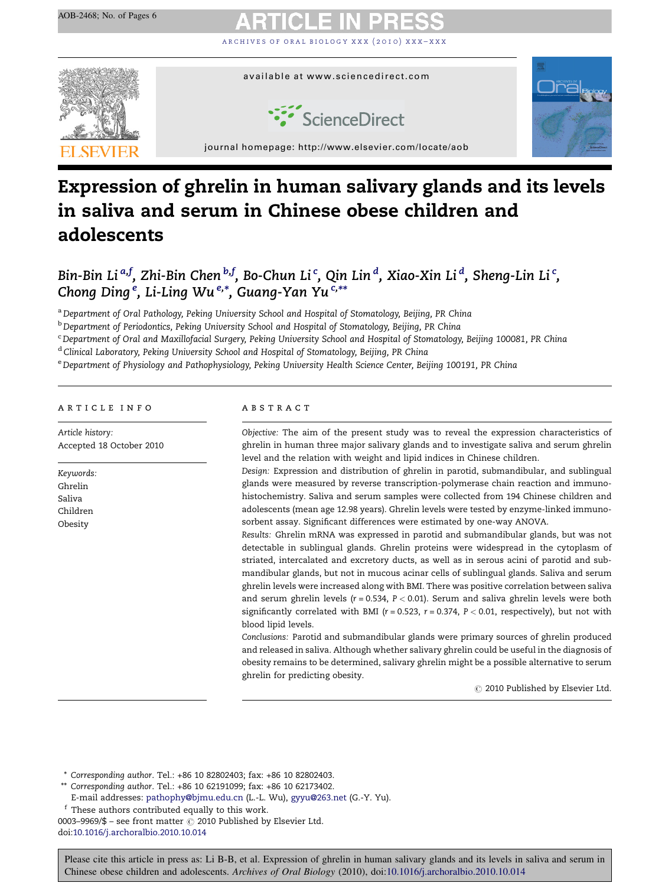[archives of oral biology xxx \(2010\) xxx–xxx](http://dx.doi.org/10.1016/j.archoralbio.2010.10.014)



# Expression of ghrelin in human salivary glands and its levels in saliva and serum in Chinese obese children and adolescents

Bin-Bin Li <sup>a,f</sup>, Zhi-Bin Chen <sup>b,f</sup>, Bo-Chun Li <sup>c</sup>, Qin Lin <sup>d</sup>, Xiao-Xin Li <sup>d</sup>, Sheng-Lin Li <sup>c</sup>, Chong Ding <sup>e</sup>, Li-Ling Wu <sup>e,\*</sup>, Guang-Yan Yu <sup>c,\*\*</sup>

a Department of Oral Pathology, Peking University School and Hospital of Stomatology, Beijing, PR China

<sup>b</sup> Department of Periodontics, Peking University School and Hospital of Stomatology, Beijing, PR China

<sup>c</sup> Department of Oral and Maxillofacial Surgery, Peking University School and Hospital of Stomatology, Beijing 100081, PR China

<sup>d</sup> Clinical Laboratory, Peking University School and Hospital of Stomatology, Beijing, PR China

e Department of Physiology and Pathophysiology, Peking University Health Science Center, Beijing 100191, PR China

#### article info

Article history: Accepted 18 October 2010

Keywords: Ghrelin Saliva Children Obesity

### **ABSTRACT**

Objective: The aim of the present study was to reveal the expression characteristics of ghrelin in human three major salivary glands and to investigate saliva and serum ghrelin level and the relation with weight and lipid indices in Chinese children.

Design: Expression and distribution of ghrelin in parotid, submandibular, and sublingual glands were measured by reverse transcription-polymerase chain reaction and immunohistochemistry. Saliva and serum samples were collected from 194 Chinese children and adolescents (mean age 12.98 years). Ghrelin levels were tested by enzyme-linked immunosorbent assay. Significant differences were estimated by one-way ANOVA.

Results: Ghrelin mRNA was expressed in parotid and submandibular glands, but was not detectable in sublingual glands. Ghrelin proteins were widespread in the cytoplasm of striated, intercalated and excretory ducts, as well as in serous acini of parotid and submandibular glands, but not in mucous acinar cells of sublingual glands. Saliva and serum ghrelin levels were increased along with BMI. There was positive correlation between saliva and serum ghrelin levels ( $r = 0.534$ ,  $P < 0.01$ ). Serum and saliva ghrelin levels were both significantly correlated with BMI ( $r = 0.523$ ,  $r = 0.374$ ,  $P < 0.01$ , respectively), but not with blood lipid levels.

Conclusions: Parotid and submandibular glands were primary sources of ghrelin produced and released in saliva. Although whether salivary ghrelin could be useful in the diagnosis of obesity remains to be determined, salivary ghrelin might be a possible alternative to serum ghrelin for predicting obesity.

 $\odot$  2010 Published by Elsevier Ltd.

\* Corresponding author. Tel.: +86 10 82802403; fax: +86 10 82802403.

\*\* Corresponding author. Tel.: +86 10 62191099; fax: +86 10 62173402.

E-mail addresses: [pathophy@bjmu.edu.cn](mailto:pathophy@bjmu.edu.cn) (L.-L. Wu), [gyyu@263.net](mailto:gyyu@263.net) (G.-Y. Yu).

<sup>f</sup> These authors contributed equally to this work.

0003–9969/\$ – see front matter  $\odot$  2010 Published by Elsevier Ltd. doi[:10.1016/j.archoralbio.2010.10.014](http://dx.doi.org/10.1016/j.archoralbio.2010.10.014)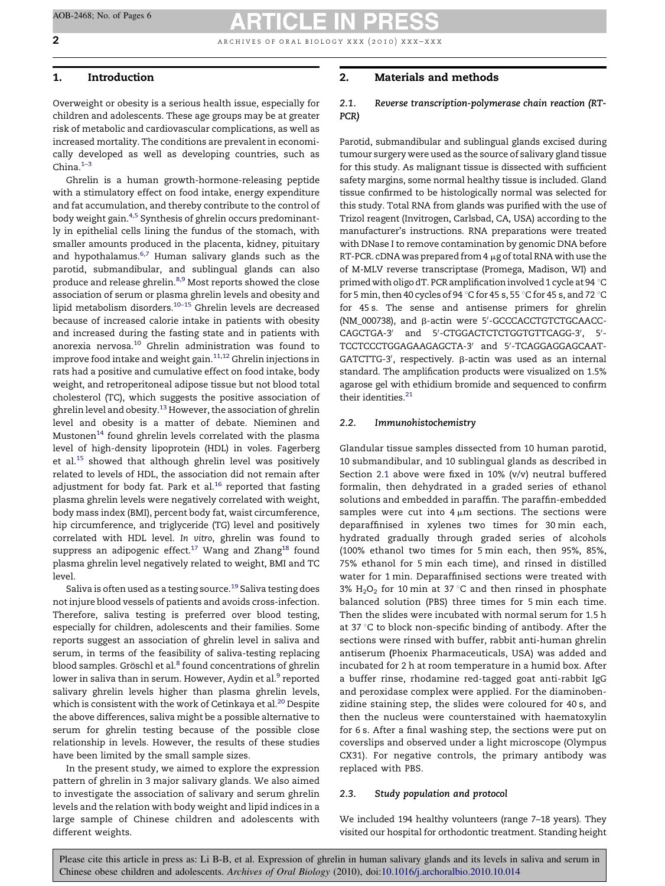2 **2 archives of oral biology xxx** (2010) xxx–xxx

# 1. Introduction

Overweight or obesity is a serious health issue, especially for children and adolescents. These age groups may be at greater risk of metabolic and cardiovascular complications, as well as increased mortality. The conditions are prevalent in economically developed as well as developing countries, such as China. $1-3$ 

Ghrelin is a human growth-hormone-releasing peptide with a stimulatory effect on food intake, energy expenditure and fat accumulation, and thereby contribute to the control of body weight gain.<sup>[4,5](#page-5-0)</sup> Synthesis of ghrelin occurs predominantly in epithelial cells lining the fundus of the stomach, with smaller amounts produced in the placenta, kidney, pituitary and hypothalamus. $6,7$  Human salivary glands such as the parotid, submandibular, and sublingual glands can also produce and release ghrelin.<sup>[8,9](#page-5-0)</sup> Most reports showed the close association of serum or plasma ghrelin levels and obesity and lipid metabolism disorders.<sup>10-15</sup> Ghrelin levels are decreased because of increased calorie intake in patients with obesity and increased during the fasting state and in patients with anorexia nervosa.[10](#page-5-0) Ghrelin administration was found to improve food intake and weight gain.  $^{\rm 11,12}$  $^{\rm 11,12}$  $^{\rm 11,12}$  Ghrelin injections in rats had a positive and cumulative effect on food intake, body weight, and retroperitoneal adipose tissue but not blood total cholesterol (TC), which suggests the positive association of ghrelin level and obesity.<sup>13</sup> However, the association of ghrelin level and obesity is a matter of debate. Nieminen and Mustonen<sup>[14](#page-5-0)</sup> found ghrelin levels correlated with the plasma level of high-density lipoprotein (HDL) in voles. Fagerberg et al.<sup>[15](#page-5-0)</sup> showed that although ghrelin level was positively related to levels of HDL, the association did not remain after adjustment for body fat. Park et al. $^{16}$  $^{16}$  $^{16}$  reported that fasting plasma ghrelin levels were negatively correlated with weight, body mass index (BMI), percent body fat, waist circumference, hip circumference, and triglyceride (TG) level and positively correlated with HDL level. In vitro, ghrelin was found to suppress an adipogenic effect.<sup>17</sup> Wang and Zhang<sup>18</sup> found plasma ghrelin level negatively related to weight, BMI and TC level.

Saliva is often used as a testing source.<sup>[19](#page-5-0)</sup> Saliva testing does not injure blood vessels of patients and avoids cross-infection. Therefore, saliva testing is preferred over blood testing, especially for children, adolescents and their families. Some reports suggest an association of ghrelin level in saliva and serum, in terms of the feasibility of saliva-testing replacing blood samples. Gröschl et al.<sup>[8](#page-5-0)</sup> found concentrations of ghrelin lower in saliva than in serum. However, Aydin et al.<sup>[9](#page-5-0)</sup> reported salivary ghrelin levels higher than plasma ghrelin levels, which is consistent with the work of Cetinkaya et al.<sup>[20](#page-5-0)</sup> Despite the above differences, saliva might be a possible alternative to serum for ghrelin testing because of the possible close relationship in levels. However, the results of these studies have been limited by the small sample sizes.

In the present study, we aimed to explore the expression pattern of ghrelin in 3 major salivary glands. We also aimed to investigate the association of salivary and serum ghrelin levels and the relation with body weight and lipid indices in a large sample of Chinese children and adolescents with different weights.

# 2. Materials and methods

# 2.1. Reverse transcription-polymerase chain reaction (RT-PCR)

Parotid, submandibular and sublingual glands excised during tumour surgery were used as the source of salivary gland tissue for this study. As malignant tissue is dissected with sufficient safety margins, some normal healthy tissue is included. Gland tissue confirmed to be histologically normal was selected for this study. Total RNA from glands was purified with the use of Trizol reagent (Invitrogen, Carlsbad, CA, USA) according to the manufacturer's instructions. RNA preparations were treated with DNase I to remove contamination by genomic DNA before RT-PCR. cDNA was prepared from  $4 \mu$ g of total RNA with use the of M-MLV reverse transcriptase (Promega, Madison, WI) and primed with oligo dT. PCR amplification involved 1 cycle at 94 °C for 5 min, then 40 cycles of 94 °C for 45 s, 55 °C for 45 s, and 72 °C for 45 s. The sense and antisense primers for ghrelin (NM\_000738), and β-actin were 5'-GCCCACCTGTCTGCAACC-CAGCTGA-3' and 5'-CTGGACTCTCTGGTGTTCAGG-3', 5'-TCCTCCCTGGAGAAGAGCTA-3' and 5'-TCAGGAGGAGCAAT-GATCTTG-3', respectively. ß-actin was used as an internal standard. The amplification products were visualized on 1.5% agarose gel with ethidium bromide and sequenced to confirm their identities.<sup>21</sup>

#### 2.2. Immunohistochemistry

Glandular tissue samples dissected from 10 human parotid, 10 submandibular, and 10 sublingual glands as described in Section 2.1 above were fixed in 10% (v/v) neutral buffered formalin, then dehydrated in a graded series of ethanol solutions and embedded in paraffin. The paraffin-embedded samples were cut into  $4 \mu m$  sections. The sections were deparaffinised in xylenes two times for 30 min each, hydrated gradually through graded series of alcohols (100% ethanol two times for 5 min each, then 95%, 85%, 75% ethanol for 5 min each time), and rinsed in distilled water for 1 min. Deparaffinised sections were treated with 3%  $H_2O_2$  for 10 min at 37 °C and then rinsed in phosphate balanced solution (PBS) three times for 5 min each time. Then the slides were incubated with normal serum for 1.5 h at 37 °C to block non-specific binding of antibody. After the sections were rinsed with buffer, rabbit anti-human ghrelin antiserum (Phoenix Pharmaceuticals, USA) was added and incubated for 2 h at room temperature in a humid box. After a buffer rinse, rhodamine red-tagged goat anti-rabbit IgG and peroxidase complex were applied. For the diaminobenzidine staining step, the slides were coloured for 40 s, and then the nucleus were counterstained with haematoxylin for 6 s. After a final washing step, the sections were put on coverslips and observed under a light microscope (Olympus CX31). For negative controls, the primary antibody was replaced with PBS.

#### 2.3. Study population and protocol

We included 194 healthy volunteers (range 7–18 years). They visited our hospital for orthodontic treatment. Standing height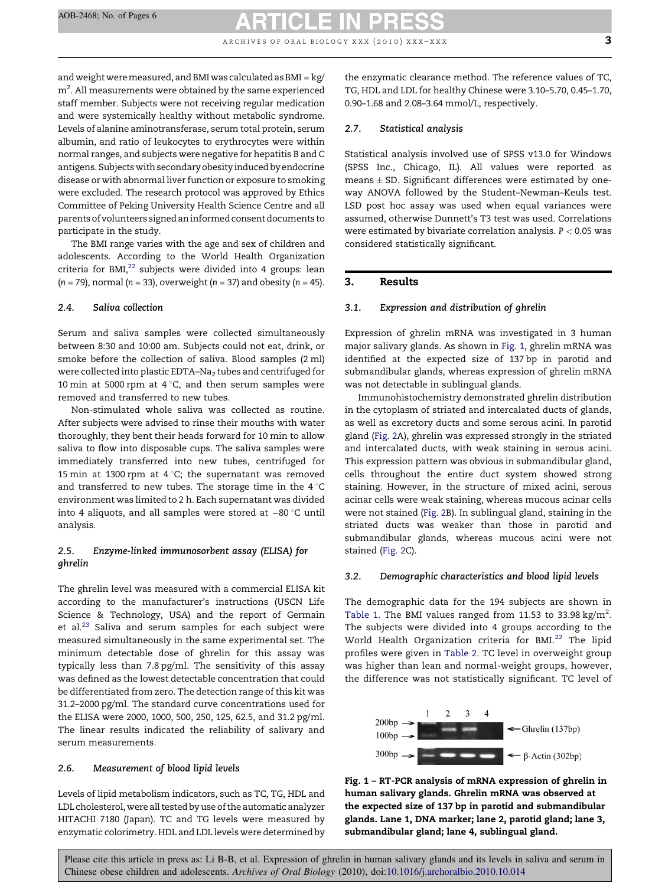and weight were measured, and BMI was calculated as BMI =  $kg/$  $\rm m^2$ . All measurements were obtained by the same experienced staff member. Subjects were not receiving regular medication and were systemically healthy without metabolic syndrome. Levels of alanine aminotransferase, serum total protein, serum albumin, and ratio of leukocytes to erythrocytes were within normal ranges, and subjects were negative for hepatitis B and C antigens. Subjects with secondary obesity induced by endocrine disease or with abnormal liver function or exposure to smoking were excluded. The research protocol was approved by Ethics Committee of Peking University Health Science Centre and all parents of volunteers signed an informed consent documents to participate in the study.

The BMI range varies with the age and sex of children and adolescents. According to the World Health Organization criteria for  $BMI<sub>1</sub><sup>22</sup>$  $BMI<sub>1</sub><sup>22</sup>$  $BMI<sub>1</sub><sup>22</sup>$  subjects were divided into 4 groups: lean  $(n = 79)$ , normal  $(n = 33)$ , overweight  $(n = 37)$  and obesity  $(n = 45)$ .

# 2.4. Saliva collection

Serum and saliva samples were collected simultaneously between 8:30 and 10:00 am. Subjects could not eat, drink, or smoke before the collection of saliva. Blood samples (2 ml) were collected into plastic EDTA-Na<sub>2</sub> tubes and centrifuged for 10 min at 5000 rpm at  $4^{\circ}$ C, and then serum samples were removed and transferred to new tubes.

Non-stimulated whole saliva was collected as routine. After subjects were advised to rinse their mouths with water thoroughly, they bent their heads forward for 10 min to allow saliva to flow into disposable cups. The saliva samples were immediately transferred into new tubes, centrifuged for 15 min at 1300 rpm at  $4^{\circ}$ C; the supernatant was removed and transferred to new tubes. The storage time in the  $4^{\circ}C$ environment was limited to 2 h. Each supernatant was divided into 4 aliquots, and all samples were stored at  $-$ 80 °C until analysis.

# 2.5. Enzyme-linked immunosorbent assay (ELISA) for ghrelin

The ghrelin level was measured with a commercial ELISA kit according to the manufacturer's instructions (USCN Life Science & Technology, USA) and the report of Germain et al.<sup>23</sup> Saliva and serum samples for each subject were measured simultaneously in the same experimental set. The minimum detectable dose of ghrelin for this assay was typically less than 7.8 pg/ml. The sensitivity of this assay was defined as the lowest detectable concentration that could be differentiated from zero. The detection range of this kit was 31.2–2000 pg/ml. The standard curve concentrations used for the ELISA were 2000, 1000, 500, 250, 125, 62.5, and 31.2 pg/ml. The linear results indicated the reliability of salivary and serum measurements.

# 2.6. Measurement of blood lipid levels

Levels of lipid metabolism indicators, such as TC, TG, HDL and LDL cholesterol, were all tested by use of the automatic analyzer HITACHI 7180 (Japan). TC and TG levels were measured by enzymatic colorimetry. HDL and LDL levels were determined by

the enzymatic clearance method. The reference values of TC, TG, HDL and LDL for healthy Chinese were 3.10–5.70, 0.45–1.70, 0.90–1.68 and 2.08–3.64 mmol/L, respectively.

#### 2.7. Statistical analysis

Statistical analysis involved use of SPSS v13.0 for Windows (SPSS Inc., Chicago, IL). All values were reported as means  $\pm$  SD. Significant differences were estimated by oneway ANOVA followed by the Student–Newman–Keuls test. LSD post hoc assay was used when equal variances were assumed, otherwise Dunnett's T3 test was used. Correlations were estimated by bivariate correlation analysis.  $P < 0.05$  was considered statistically significant.

### 3. Results

# 3.1. Expression and distribution of ghrelin

Expression of ghrelin mRNA was investigated in 3 human major salivary glands. As shown in Fig. 1, ghrelin mRNA was identified at the expected size of 137 bp in parotid and submandibular glands, whereas expression of ghrelin mRNA was not detectable in sublingual glands.

Immunohistochemistry demonstrated ghrelin distribution in the cytoplasm of striated and intercalated ducts of glands, as well as excretory ducts and some serous acini. In parotid gland ([Fig. 2A](#page-3-0)), ghrelin was expressed strongly in the striated and intercalated ducts, with weak staining in serous acini. This expression pattern was obvious in submandibular gland, cells throughout the entire duct system showed strong staining. However, in the structure of mixed acini, serous acinar cells were weak staining, whereas mucous acinar cells were not stained [\(Fig. 2B](#page-3-0)). In sublingual gland, staining in the striated ducts was weaker than those in parotid and submandibular glands, whereas mucous acini were not stained ([Fig. 2](#page-3-0)C).

### 3.2. Demographic characteristics and blood lipid levels

The demographic data for the 194 subjects are shown in [Table 1.](#page-4-0) The BMI values ranged from 11.53 to 33.98 kg/m<sup>2</sup>. The subjects were divided into 4 groups according to the World Health Organization criteria for BMI.<sup>[22](#page-5-0)</sup> The lipid profiles were given in [Table 2](#page-4-0). TC level in overweight group was higher than lean and normal-weight groups, however, the difference was not statistically significant. TC level of



Fig. 1 – RT-PCR analysis of mRNA expression of ghrelin in human salivary glands. Ghrelin mRNA was observed at the expected size of 137 bp in parotid and submandibular glands. Lane 1, DNA marker; lane 2, parotid gland; lane 3, submandibular gland; lane 4, sublingual gland.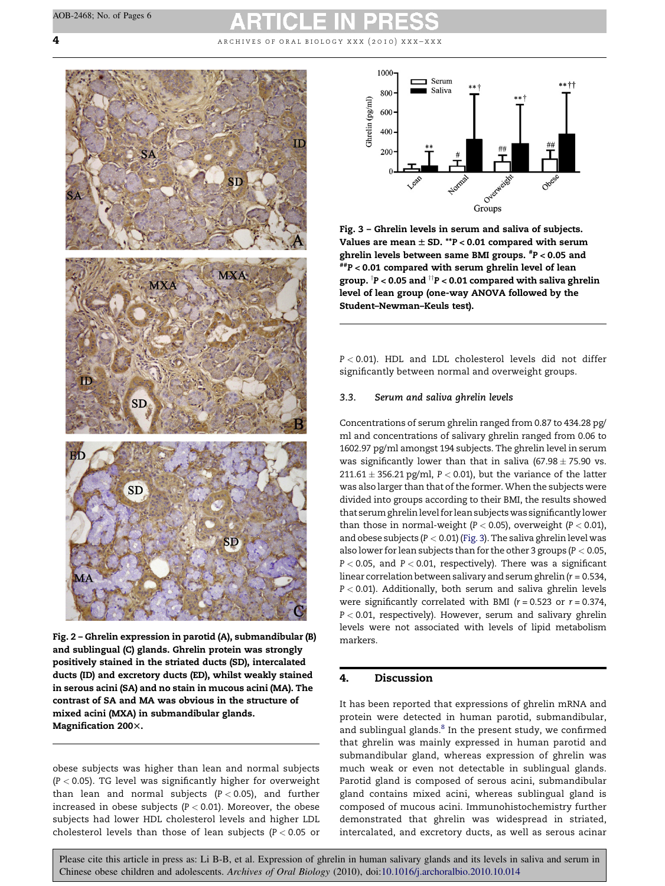<span id="page-3-0"></span>**4** archives of oral biology xxx (2010) xxx–xxx



Fig. 2 – Ghrelin expression in parotid (A), submandibular (B) and sublingual (C) glands. Ghrelin protein was strongly positively stained in the striated ducts (SD), intercalated ducts (ID) and excretory ducts (ED), whilst weakly stained in serous acini (SA) and no stain in mucous acini (MA). The contrast of SA and MA was obvious in the structure of mixed acini (MXA) in submandibular glands. Magnification 200×.

obese subjects was higher than lean and normal subjects  $(P < 0.05)$ . TG level was significantly higher for overweight than lean and normal subjects ( $P < 0.05$ ), and further increased in obese subjects ( $P < 0.01$ ). Moreover, the obese subjects had lower HDL cholesterol levels and higher LDL cholesterol levels than those of lean subjects ( $P < 0.05$  or



Fig. 3 – Ghrelin levels in serum and saliva of subjects. Values are mean  $\pm$  SD. \*\*P < 0.01 compared with serum ghrelin levels between same BMI groups. # P < 0.05 and  $^{ \overline{\# }\# }P<0.01$  compared with serum ghrelin level of lean group.  $\dagger$ P < 0.05 and  $\dagger$ TP < 0.01 compared with saliva ghrelin level of lean group (one-way ANOVA followed by the Student–Newman–Keuls test).

P < 0.01). HDL and LDL cholesterol levels did not differ significantly between normal and overweight groups.

#### 3.3. Serum and saliva ghrelin levels

Concentrations of serum ghrelin ranged from 0.87 to 434.28 pg/ ml and concentrations of salivary ghrelin ranged from 0.06 to 1602.97 pg/ml amongst 194 subjects. The ghrelin level in serum was significantly lower than that in saliva  $(67.98 \pm 75.90$  vs.  $211.61 \pm 356.21$  pg/ml, P < 0.01), but the variance of the latter was also larger than that of the former. When the subjects were divided into groups according to their BMI, the results showed that serum ghrelin level for lean subjectswas significantly lower than those in normal-weight ( $P < 0.05$ ), overweight ( $P < 0.01$ ), and obese subjects ( $P < 0.01$ ) (Fig. 3). The saliva ghrelin level was also lower for lean subjects than for the other 3 groups (P < 0.05,  $P < 0.05$ , and  $P < 0.01$ , respectively). There was a significant linear correlation between salivary and serum ghrelin ( $r = 0.534$ ,  $P < 0.01$ ). Additionally, both serum and saliva ghrelin levels were significantly correlated with BMI ( $r = 0.523$  or  $r = 0.374$ ,  $P < 0.01$ , respectively). However, serum and salivary ghrelin levels were not associated with levels of lipid metabolism markers.

# 4. Discussion

It has been reported that expressions of ghrelin mRNA and protein were detected in human parotid, submandibular, and sublingual glands.<sup>[8](#page-5-0)</sup> In the present study, we confirmed that ghrelin was mainly expressed in human parotid and submandibular gland, whereas expression of ghrelin was much weak or even not detectable in sublingual glands. Parotid gland is composed of serous acini, submandibular gland contains mixed acini, whereas sublingual gland is composed of mucous acini. Immunohistochemistry further demonstrated that ghrelin was widespread in striated, intercalated, and excretory ducts, as well as serous acinar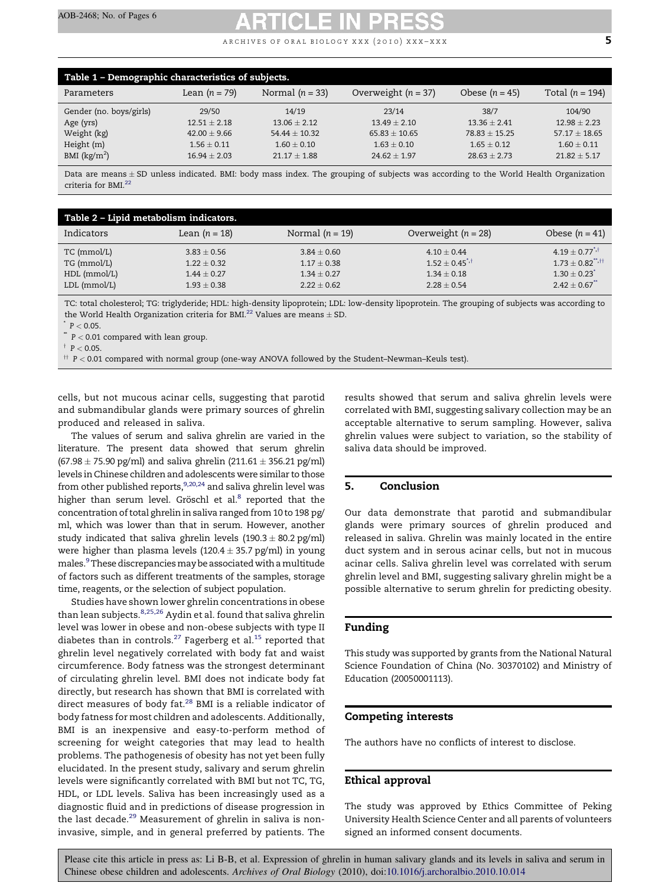ARCHIVES OF ORAL BIOLOGY XXX (2010) XXX–XXX  $\overline{5}$ 

<span id="page-4-0"></span>

| Table 1 - Demographic characteristics of subjects. |                 |                   |                       |                  |                   |  |  |
|----------------------------------------------------|-----------------|-------------------|-----------------------|------------------|-------------------|--|--|
| Parameters                                         | Lean $(n = 79)$ | Normal $(n = 33)$ | Overweight $(n = 37)$ | Obese $(n = 45)$ | Total $(n = 194)$ |  |  |
| Gender (no. boys/girls)                            | 29/50           | 14/19             | 23/14                 | 38/7             | 104/90            |  |  |
| Age (yrs)                                          | $12.51 + 2.18$  | $13.06 + 2.12$    | $13.49 + 2.10$        | $13.36 + 2.41$   | $12.98 + 2.23$    |  |  |
| Weight (kg)                                        | $42.00 + 9.66$  | $54.44 + 10.32$   | $65.83 + 10.65$       | $78.83 + 15.25$  | $57.17 + 18.65$   |  |  |
| Height (m)                                         | $1.56 \pm 0.11$ | $1.60 \pm 0.10$   | $1.63 \pm 0.10$       | $1.65 + 0.12$    | $1.60 \pm 0.11$   |  |  |
| BMI $(kg/m2)$                                      | $16.94 + 2.03$  | $21.17 + 1.88$    | $24.62 + 1.97$        | $28.63 + 2.73$   | $21.82 \pm 5.17$  |  |  |

Data are means ± SD unless indicated. BMI: body mass index. The grouping of subjects was according to the World Health Organization criteria for BMI.<sup>[22](#page-5-0)</sup>

| Table 2 - Lipid metabolism indicators. |                 |                   |                                |                                  |  |  |  |
|----------------------------------------|-----------------|-------------------|--------------------------------|----------------------------------|--|--|--|
| Indicators                             | Lean $(n = 18)$ | Normal $(n = 19)$ | Overweight $(n = 28)$          | Obese $(n = 41)$                 |  |  |  |
| TC (mmol/L)                            | $3.83 \pm 0.56$ | $3.84 \pm 0.60$   | $4.10 \pm 0.44$                | $4.19 + 0.77^{*}$                |  |  |  |
| TG (mmol/L)                            | $1.22 \pm 0.32$ | $1.17 \pm 0.38$   | $1.52 \pm 0.45$ <sup>*,†</sup> | $1.73 \pm 0.82$ <sup>**,††</sup> |  |  |  |
| HDL (mmol/L)                           | $1.44 \pm 0.27$ | $1.34 + 0.27$     | $1.34 + 0.18$                  | $1.30 \pm 0.23$ <sup>*</sup>     |  |  |  |
| LDL (mmol/L)                           | $1.93 \pm 0.38$ | $2.22 + 0.62$     | $2.28 \pm 0.54$                | $2.42 \pm 0.67$ <sup>**</sup>    |  |  |  |

TC: total cholesterol; TG: triglyderide; HDL: high-density lipoprotein; LDL: low-density lipoprotein. The grouping of subjects was according to the World Health Organization criteria for BMI.<sup>[22](#page-5-0)</sup> Values are means  $\pm$  SD.

 $P < 0.05$ .

 $^*$  P  $<$  0.01 compared with lean group.

 $\dagger$  P < 0.05.

 $\uparrow$  P < 0.01 compared with normal group (one-way ANOVA followed by the Student–Newman–Keuls test).

cells, but not mucous acinar cells, suggesting that parotid and submandibular glands were primary sources of ghrelin produced and released in saliva.

The values of serum and saliva ghrelin are varied in the literature. The present data showed that serum ghrelin  $(67.98 \pm 75.90 \text{ pg/ml})$  and saliva ghrelin  $(211.61 \pm 356.21 \text{ pg/ml})$ levels in Chinese children and adolescents were similar to those from other published reports, $9,20,24$  and saliva ghrelin level was higher than serum level. Gröschl et al. $8$  reported that the concentration of total ghrelin in saliva ranged from 10 to 198 pg/ ml, which was lower than that in serum. However, another study indicated that saliva ghrelin levels  $(190.3 \pm 80.2 \text{ pg/ml})$ were higher than plasma levels  $(120.4 \pm 35.7 \text{ pg/ml})$  in young males.<sup>9</sup>These discrepancies may be associated with a multitude of factors such as different treatments of the samples, storage time, reagents, or the selection of subject population.

Studies have shown lower ghrelin concentrations in obese than lean subjects.<sup>[8,25,26](#page-5-0)</sup> Aydin et al. found that saliva ghrelin level was lower in obese and non-obese subjects with type II diabetes than in controls.<sup>[27](#page-5-0)</sup> Fagerberg et al.<sup>[15](#page-5-0)</sup> reported that ghrelin level negatively correlated with body fat and waist circumference. Body fatness was the strongest determinant of circulating ghrelin level. BMI does not indicate body fat directly, but research has shown that BMI is correlated with direct measures of body fat.<sup>[28](#page-5-0)</sup> BMI is a reliable indicator of body fatness for most children and adolescents. Additionally, BMI is an inexpensive and easy-to-perform method of screening for weight categories that may lead to health problems. The pathogenesis of obesity has not yet been fully elucidated. In the present study, salivary and serum ghrelin levels were significantly correlated with BMI but not TC, TG, HDL, or LDL levels. Saliva has been increasingly used as a diagnostic fluid and in predictions of disease progression in the last decade.<sup>[29](#page-5-0)</sup> Measurement of ghrelin in saliva is noninvasive, simple, and in general preferred by patients. The

results showed that serum and saliva ghrelin levels were correlated with BMI, suggesting salivary collection may be an acceptable alternative to serum sampling. However, saliva ghrelin values were subject to variation, so the stability of saliva data should be improved.

# 5. Conclusion

Our data demonstrate that parotid and submandibular glands were primary sources of ghrelin produced and released in saliva. Ghrelin was mainly located in the entire duct system and in serous acinar cells, but not in mucous acinar cells. Saliva ghrelin level was correlated with serum ghrelin level and BMI, suggesting salivary ghrelin might be a possible alternative to serum ghrelin for predicting obesity.

# Funding

This study was supported by grants from the National Natural Science Foundation of China (No. 30370102) and Ministry of Education (20050001113).

### Competing interests

The authors have no conflicts of interest to disclose.

### Ethical approval

The study was approved by Ethics Committee of Peking University Health Science Center and all parents of volunteers signed an informed consent documents.